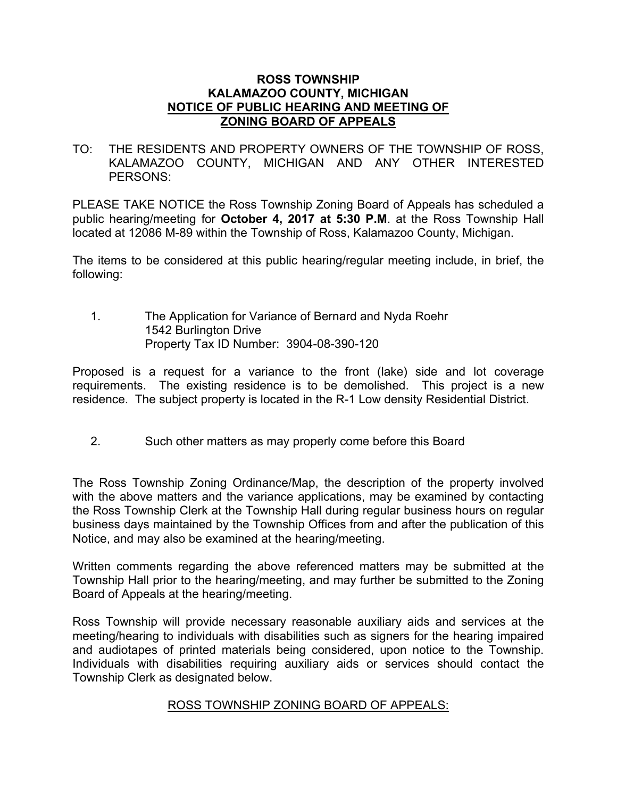## **ROSS TOWNSHIP KALAMAZOO COUNTY, MICHIGAN NOTICE OF PUBLIC HEARING AND MEETING OF ZONING BOARD OF APPEALS**

TO: THE RESIDENTS AND PROPERTY OWNERS OF THE TOWNSHIP OF ROSS, KALAMAZOO COUNTY, MICHIGAN AND ANY OTHER INTERESTED PERSONS:

PLEASE TAKE NOTICE the Ross Township Zoning Board of Appeals has scheduled a public hearing/meeting for **October 4, 2017 at 5:30 P.M**. at the Ross Township Hall located at 12086 M-89 within the Township of Ross, Kalamazoo County, Michigan.

The items to be considered at this public hearing/regular meeting include, in brief, the following:

1. The Application for Variance of Bernard and Nyda Roehr 1542 Burlington Drive Property Tax ID Number: 3904-08-390-120

Proposed is a request for a variance to the front (lake) side and lot coverage requirements. The existing residence is to be demolished. This project is a new residence. The subject property is located in the R-1 Low density Residential District.

2. Such other matters as may properly come before this Board

The Ross Township Zoning Ordinance/Map, the description of the property involved with the above matters and the variance applications, may be examined by contacting the Ross Township Clerk at the Township Hall during regular business hours on regular business days maintained by the Township Offices from and after the publication of this Notice, and may also be examined at the hearing/meeting.

Written comments regarding the above referenced matters may be submitted at the Township Hall prior to the hearing/meeting, and may further be submitted to the Zoning Board of Appeals at the hearing/meeting.

Ross Township will provide necessary reasonable auxiliary aids and services at the meeting/hearing to individuals with disabilities such as signers for the hearing impaired and audiotapes of printed materials being considered, upon notice to the Township. Individuals with disabilities requiring auxiliary aids or services should contact the Township Clerk as designated below.

## ROSS TOWNSHIP ZONING BOARD OF APPEALS: